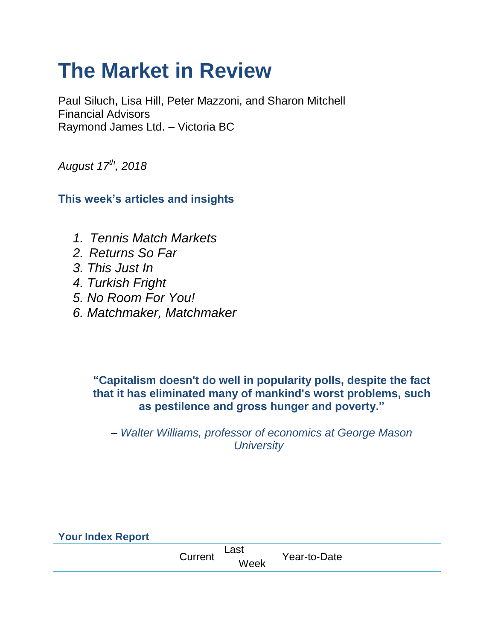# **The Market in Review**

Paul Siluch, Lisa Hill, Peter Mazzoni, and Sharon Mitchell Financial Advisors Raymond James Ltd. – Victoria BC

*August 17th, 2018*

**This week's articles and insights**

- *1. Tennis Match Markets*
- *2. Returns So Far*
- *3. This Just In*
- *4. Turkish Fright*
- *5. No Room For You!*
- *6. Matchmaker, Matchmaker*

**"Capitalism doesn't do well in popularity polls, despite the fact that it has eliminated many of mankind's worst problems, such as pestilence and gross hunger and poverty."**

*– Walter Williams, professor of economics at George Mason University* 

| <b>Your Index Report</b> |         |              |              |  |
|--------------------------|---------|--------------|--------------|--|
|                          | Current | Last<br>Week | Year-to-Date |  |
|                          |         |              |              |  |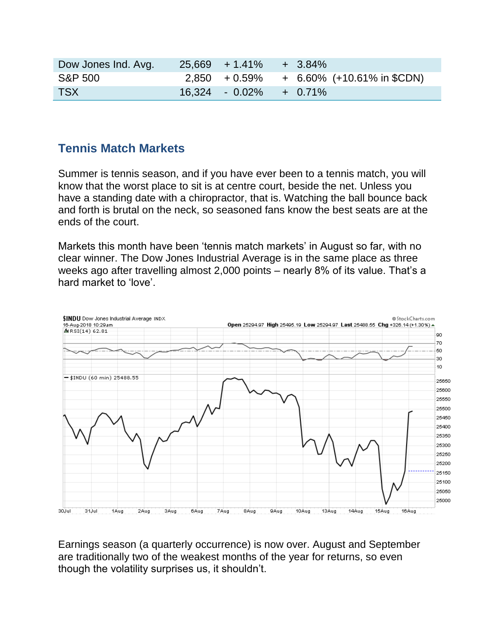| Dow Jones Ind. Avg. | $25,669 + 1.41\% + 3.84\%$ |                                               |
|---------------------|----------------------------|-----------------------------------------------|
| S&P 500             |                            | $2,850 + 0.59\% + 6.60\% + 10.61\%$ in \$CDN) |
| <b>TSX</b>          | $16.324 - 0.02\% + 0.71\%$ |                                               |

# **Tennis Match Markets**

Summer is tennis season, and if you have ever been to a tennis match, you will know that the worst place to sit is at centre court, beside the net. Unless you have a standing date with a chiropractor, that is. Watching the ball bounce back and forth is brutal on the neck, so seasoned fans know the best seats are at the ends of the court.

Markets this month have been 'tennis match markets' in August so far, with no clear winner. The Dow Jones Industrial Average is in the same place as three weeks ago after travelling almost 2,000 points – nearly 8% of its value. That's a hard market to 'love'.



Earnings season (a quarterly occurrence) is now over. August and September are traditionally two of the weakest months of the year for returns, so even though the volatility surprises us, it shouldn't.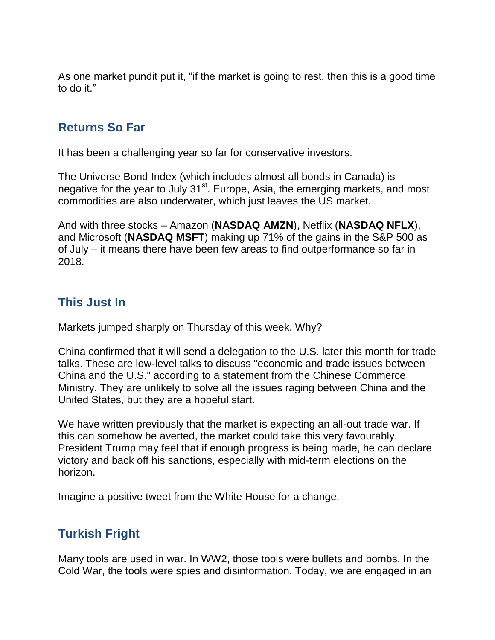As one market pundit put it, "if the market is going to rest, then this is a good time to do it."

# **Returns So Far**

It has been a challenging year so far for conservative investors.

The Universe Bond Index (which includes almost all bonds in Canada) is negative for the year to July  $31<sup>st</sup>$ . Europe, Asia, the emerging markets, and most commodities are also underwater, which just leaves the US market.

And with three stocks – Amazon (**NASDAQ AMZN**), Netflix (**NASDAQ NFLX**), and Microsoft (**NASDAQ MSFT**) making up 71% of the gains in the S&P 500 as of July – it means there have been few areas to find outperformance so far in 2018.

# **This Just In**

Markets jumped sharply on Thursday of this week. Why?

China confirmed that it will send a delegation to the U.S. later this month for trade talks. These are low-level talks to discuss "economic and trade issues between China and the U.S." according to a statement from the Chinese Commerce Ministry. They are unlikely to solve all the issues raging between China and the United States, but they are a hopeful start.

We have written previously that the market is expecting an all-out trade war. If this can somehow be averted, the market could take this very favourably. President Trump may feel that if enough progress is being made, he can declare victory and back off his sanctions, especially with mid-term elections on the horizon.

Imagine a positive tweet from the White House for a change.

# **Turkish Fright**

Many tools are used in war. In WW2, those tools were bullets and bombs. In the Cold War, the tools were spies and disinformation. Today, we are engaged in an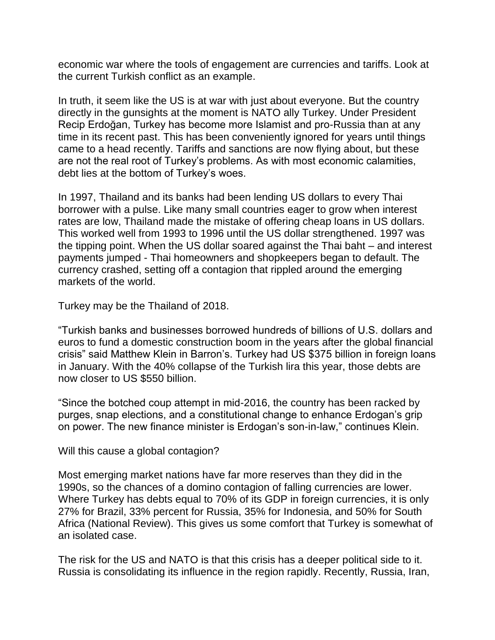economic war where the tools of engagement are currencies and tariffs. Look at the current Turkish conflict as an example.

In truth, it seem like the US is at war with just about everyone. But the country directly in the gunsights at the moment is NATO ally Turkey. Under President Recip Erdoğan, Turkey has become more Islamist and pro-Russia than at any time in its recent past. This has been conveniently ignored for years until things came to a head recently. Tariffs and sanctions are now flying about, but these are not the real root of Turkey's problems. As with most economic calamities, debt lies at the bottom of Turkey's woes.

In 1997, Thailand and its banks had been lending US dollars to every Thai borrower with a pulse. Like many small countries eager to grow when interest rates are low, Thailand made the mistake of offering cheap loans in US dollars. This worked well from 1993 to 1996 until the US dollar strengthened. 1997 was the tipping point. When the US dollar soared against the Thai baht – and interest payments jumped - Thai homeowners and shopkeepers began to default. The currency crashed, setting off a contagion that rippled around the emerging markets of the world.

Turkey may be the Thailand of 2018.

"Turkish banks and businesses borrowed hundreds of billions of U.S. dollars and euros to fund a domestic construction boom in the years after the global financial crisis" said Matthew Klein in Barron's. Turkey had US \$375 billion in foreign loans in January. With the 40% collapse of the Turkish lira this year, those debts are now closer to US \$550 billion.

"Since the botched coup attempt in mid-2016, the country has been racked by purges, snap elections, and a constitutional change to enhance Erdogan's grip on power. The new finance minister is Erdogan's son-in-law," continues Klein.

Will this cause a global contagion?

Most emerging market nations have far more reserves than they did in the 1990s, so the chances of a domino contagion of falling currencies are lower. Where Turkey has debts equal to 70% of its GDP in foreign currencies, it is only 27% for Brazil, 33% percent for Russia, 35% for Indonesia, and 50% for South Africa (National Review). This gives us some comfort that Turkey is somewhat of an isolated case.

The risk for the US and NATO is that this crisis has a deeper political side to it. Russia is consolidating its influence in the region rapidly. Recently, Russia, Iran,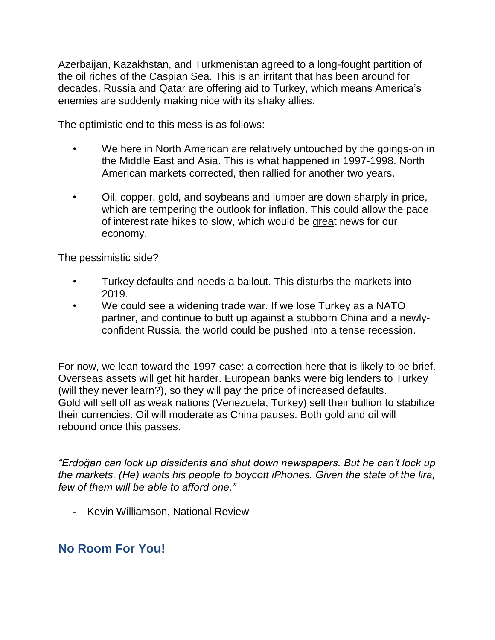Azerbaijan, Kazakhstan, and Turkmenistan agreed to a long-fought partition of the oil riches of the Caspian Sea. This is an irritant that has been around for decades. Russia and Qatar are offering aid to Turkey, which means America's enemies are suddenly making nice with its shaky allies.

The optimistic end to this mess is as follows:

- We here in North American are relatively untouched by the goings-on in the Middle East and Asia. This is what happened in 1997-1998. North American markets corrected, then rallied for another two years.
- Oil, copper, gold, and soybeans and lumber are down sharply in price, which are tempering the outlook for inflation. This could allow the pace of interest rate hikes to slow, which would be great news for our economy.

The pessimistic side?

- Turkey defaults and needs a bailout. This disturbs the markets into 2019.
- We could see a widening trade war. If we lose Turkey as a NATO partner, and continue to butt up against a stubborn China and a newlyconfident Russia, the world could be pushed into a tense recession.

For now, we lean toward the 1997 case: a correction here that is likely to be brief. Overseas assets will get hit harder. European banks were big lenders to Turkey (will they never learn?), so they will pay the price of increased defaults. Gold will sell off as weak nations (Venezuela, Turkey) sell their bullion to stabilize their currencies. Oil will moderate as China pauses. Both gold and oil will rebound once this passes.

*"Erdoğan can lock up dissidents and shut down newspapers. But he can't lock up the markets. (He) wants his people to boycott iPhones. Given the state of the lira, few of them will be able to afford one."*

- Kevin Williamson, National Review

# **No Room For You!**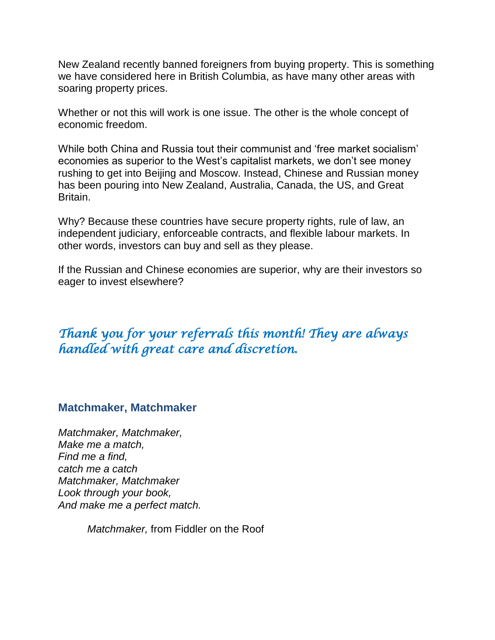New Zealand recently banned foreigners from buying property. This is something we have considered here in British Columbia, as have many other areas with soaring property prices.

Whether or not this will work is one issue. The other is the whole concept of economic freedom.

While both China and Russia tout their communist and 'free market socialism' economies as superior to the West's capitalist markets, we don't see money rushing to get into Beijing and Moscow. Instead, Chinese and Russian money has been pouring into New Zealand, Australia, Canada, the US, and Great Britain.

Why? Because these countries have secure property rights, rule of law, an independent judiciary, enforceable contracts, and flexible labour markets. In other words, investors can buy and sell as they please.

If the Russian and Chinese economies are superior, why are their investors so eager to invest elsewhere?

# *Thank you for your referrals this month! They are always handled with great care and discretion.*

## **Matchmaker, Matchmaker**

*Matchmaker, Matchmaker, Make me a match, Find me a find, catch me a catch Matchmaker, Matchmaker Look through your book, And make me a perfect match.*

*Matchmaker,* from Fiddler on the Roof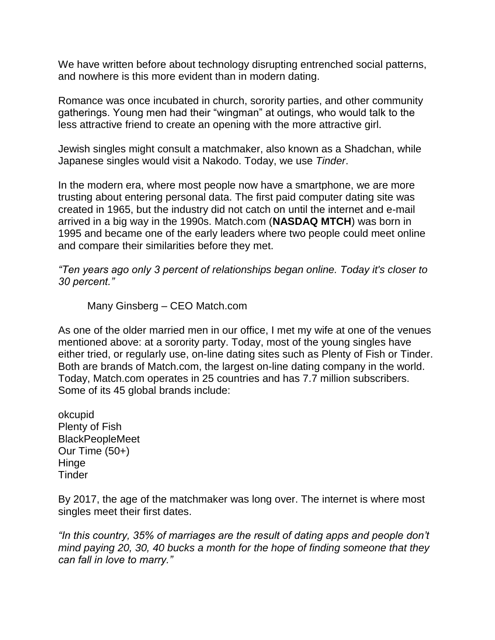We have written before about technology disrupting entrenched social patterns, and nowhere is this more evident than in modern dating.

Romance was once incubated in church, sorority parties, and other community gatherings. Young men had their "wingman" at outings, who would talk to the less attractive friend to create an opening with the more attractive girl.

Jewish singles might consult a matchmaker, also known as a Shadchan, while Japanese singles would visit a Nakodo. Today, we use *Tinder*.

In the modern era, where most people now have a smartphone, we are more trusting about entering personal data. The first paid computer dating site was created in 1965, but the industry did not catch on until the internet and e-mail arrived in a big way in the 1990s. Match.com (**NASDAQ MTCH**) was born in 1995 and became one of the early leaders where two people could meet online and compare their similarities before they met.

*"Ten years ago only 3 percent of relationships began online. Today it's closer to 30 percent."*

Many Ginsberg – CEO Match.com

As one of the older married men in our office, I met my wife at one of the venues mentioned above: at a sorority party. Today, most of the young singles have either tried, or regularly use, on-line dating sites such as Plenty of Fish or Tinder. Both are brands of Match.com, the largest on-line dating company in the world. Today, Match.com operates in 25 countries and has 7.7 million subscribers. Some of its 45 global brands include:

okcupid Plenty of Fish BlackPeopleMeet Our Time (50+) **Hinge Tinder** 

By 2017, the age of the matchmaker was long over. The internet is where most singles meet their first dates.

*"In this country, 35% of marriages are the result of dating apps and people don't mind paying 20, 30, 40 bucks a month for the hope of finding someone that they can fall in love to marry."*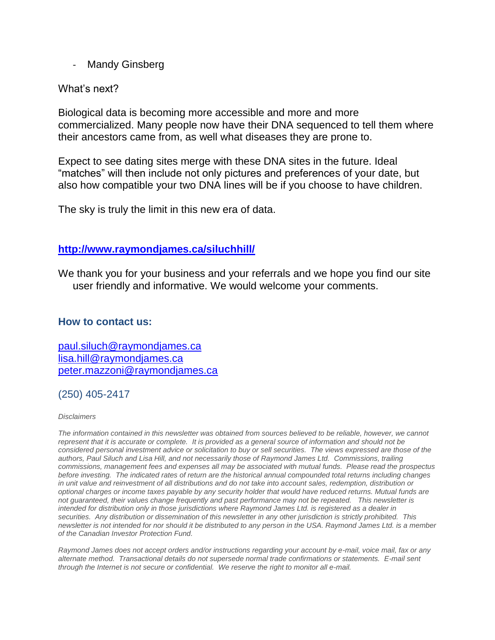Mandy Ginsberg

#### What's next?

Biological data is becoming more accessible and more and more commercialized. Many people now have their DNA sequenced to tell them where their ancestors came from, as well what diseases they are prone to.

Expect to see dating sites merge with these DNA sites in the future. Ideal "matches" will then include not only pictures and preferences of your date, but also how compatible your two DNA lines will be if you choose to have children.

The sky is truly the limit in this new era of data.

#### **<http://www.raymondjames.ca/siluchhill/>**

We thank you for your business and your referrals and we hope you find our site user friendly and informative. We would welcome your comments.

#### **How to contact us:**

[paul.siluch@raymondjames.ca](https://owa-kel.raymondjames.ca/owa/redir.aspx?SURL=z0BxOCXDlQ-Aad1f_a9igaARxm5Rd1VXE7UcmD4mZ3IZiacj7DPTCG0AYQBpAGwAdABvADoAcABhAHUAbAAuAHMAaQBsAHUAYwBoAEAAcgBhAHkAbQBvAG4AZABqAGEAbQBlAHMALgBjAGEA&URL=mailto%3apaul.siluch%40raymondjames.ca) [lisa.hill@raymondjames.ca](https://owa-kel.raymondjames.ca/owa/redir.aspx?SURL=glaBgdTdxPMFpiw4eumg-PzZXpo9vJyObrXLs1TKtIAZiacj7DPTCG0AYQBpAGwAdABvADoAbABpAHMAYQAuAGgAaQBsAGwAQAByAGEAeQBtAG8AbgBkAGoAYQBtAGUAcwAuAGMAYQA.&URL=mailto%3alisa.hill%40raymondjames.ca) [peter.mazzoni@raymondjames.ca](https://owa-kel.raymondjames.ca/owa/redir.aspx?SURL=3c7mDL9-cZxYXt7CvkOu20QVFy1WCaDQxUZ3BQE6vecZiacj7DPTCG0AYQBpAGwAdABvADoAcABlAHQAZQByAC4AbQBhAHoAegBvAG4AaQBAAHIAYQB5AG0AbwBuAGQAagBhAG0AZQBzAC4AYwBhAA..&URL=mailto%3apeter.mazzoni%40raymondjames.ca)

## (250) 405-2417

#### *Disclaimers*

*[The information contained in this newsletter was obtained from sources believed to be reliable, however, we cannot](https://owa-kel.raymondjames.ca/owa/redir.aspx?SURL=z0BxOCXDlQ-Aad1f_a9igaARxm5Rd1VXE7UcmD4mZ3IZiacj7DPTCG0AYQBpAGwAdABvADoAcABhAHUAbAAuAHMAaQBsAHUAYwBoAEAAcgBhAHkAbQBvAG4AZABqAGEAbQBlAHMALgBjAGEA&URL=mailto%3apaul.siluch%40raymondjames.ca)  represent that it is accurate or complete. [It is provided as a general source of information and should not be](https://owa-kel.raymondjames.ca/owa/redir.aspx?SURL=z0BxOCXDlQ-Aad1f_a9igaARxm5Rd1VXE7UcmD4mZ3IZiacj7DPTCG0AYQBpAGwAdABvADoAcABhAHUAbAAuAHMAaQBsAHUAYwBoAEAAcgBhAHkAbQBvAG4AZABqAGEAbQBlAHMALgBjAGEA&URL=mailto%3apaul.siluch%40raymondjames.ca)  [considered personal investment advice or solicitation to buy or sell securities.](https://owa-kel.raymondjames.ca/owa/redir.aspx?SURL=z0BxOCXDlQ-Aad1f_a9igaARxm5Rd1VXE7UcmD4mZ3IZiacj7DPTCG0AYQBpAGwAdABvADoAcABhAHUAbAAuAHMAaQBsAHUAYwBoAEAAcgBhAHkAbQBvAG4AZABqAGEAbQBlAHMALgBjAGEA&URL=mailto%3apaul.siluch%40raymondjames.ca) The views expressed are those of the [authors, Paul Siluch and Lisa Hill, and not necessarily those of Raymond James Ltd.](https://owa-kel.raymondjames.ca/owa/redir.aspx?SURL=z0BxOCXDlQ-Aad1f_a9igaARxm5Rd1VXE7UcmD4mZ3IZiacj7DPTCG0AYQBpAGwAdABvADoAcABhAHUAbAAuAHMAaQBsAHUAYwBoAEAAcgBhAHkAbQBvAG4AZABqAGEAbQBlAHMALgBjAGEA&URL=mailto%3apaul.siluch%40raymondjames.ca) Commissions, trailing [commissions, management fees and expenses all may be associated with mutual funds.](https://owa-kel.raymondjames.ca/owa/redir.aspx?SURL=z0BxOCXDlQ-Aad1f_a9igaARxm5Rd1VXE7UcmD4mZ3IZiacj7DPTCG0AYQBpAGwAdABvADoAcABhAHUAbAAuAHMAaQBsAHUAYwBoAEAAcgBhAHkAbQBvAG4AZABqAGEAbQBlAHMALgBjAGEA&URL=mailto%3apaul.siluch%40raymondjames.ca) Please read the prospectus before investing. [The indicated rates of return are the historical annual compounded total returns including changes](https://owa-kel.raymondjames.ca/owa/redir.aspx?SURL=z0BxOCXDlQ-Aad1f_a9igaARxm5Rd1VXE7UcmD4mZ3IZiacj7DPTCG0AYQBpAGwAdABvADoAcABhAHUAbAAuAHMAaQBsAHUAYwBoAEAAcgBhAHkAbQBvAG4AZABqAGEAbQBlAHMALgBjAGEA&URL=mailto%3apaul.siluch%40raymondjames.ca)  [in unit value and reinvestment of all distributions and do not take into account sales, redemption, distribution or](https://owa-kel.raymondjames.ca/owa/redir.aspx?SURL=z0BxOCXDlQ-Aad1f_a9igaARxm5Rd1VXE7UcmD4mZ3IZiacj7DPTCG0AYQBpAGwAdABvADoAcABhAHUAbAAuAHMAaQBsAHUAYwBoAEAAcgBhAHkAbQBvAG4AZABqAGEAbQBlAHMALgBjAGEA&URL=mailto%3apaul.siluch%40raymondjames.ca)  [optional charges or income taxes payable by any security holder that would have reduced returns. Mutual funds are](https://owa-kel.raymondjames.ca/owa/redir.aspx?SURL=z0BxOCXDlQ-Aad1f_a9igaARxm5Rd1VXE7UcmD4mZ3IZiacj7DPTCG0AYQBpAGwAdABvADoAcABhAHUAbAAuAHMAaQBsAHUAYwBoAEAAcgBhAHkAbQBvAG4AZABqAGEAbQBlAHMALgBjAGEA&URL=mailto%3apaul.siluch%40raymondjames.ca)  [not guaranteed, their values change frequently and past performance may not be repeated.](https://owa-kel.raymondjames.ca/owa/redir.aspx?SURL=z0BxOCXDlQ-Aad1f_a9igaARxm5Rd1VXE7UcmD4mZ3IZiacj7DPTCG0AYQBpAGwAdABvADoAcABhAHUAbAAuAHMAaQBsAHUAYwBoAEAAcgBhAHkAbQBvAG4AZABqAGEAbQBlAHMALgBjAGEA&URL=mailto%3apaul.siluch%40raymondjames.ca) This newsletter is [intended for distribution only in those jurisdictions where Raymond James Ltd. is registered as a dealer in](https://owa-kel.raymondjames.ca/owa/redir.aspx?SURL=z0BxOCXDlQ-Aad1f_a9igaARxm5Rd1VXE7UcmD4mZ3IZiacj7DPTCG0AYQBpAGwAdABvADoAcABhAHUAbAAuAHMAaQBsAHUAYwBoAEAAcgBhAHkAbQBvAG4AZABqAGEAbQBlAHMALgBjAGEA&URL=mailto%3apaul.siluch%40raymondjames.ca)  securities. [Any distribution or dissemination of this newsletter in any other jurisdiction is strictly prohibited.](https://owa-kel.raymondjames.ca/owa/redir.aspx?SURL=z0BxOCXDlQ-Aad1f_a9igaARxm5Rd1VXE7UcmD4mZ3IZiacj7DPTCG0AYQBpAGwAdABvADoAcABhAHUAbAAuAHMAaQBsAHUAYwBoAEAAcgBhAHkAbQBvAG4AZABqAGEAbQBlAHMALgBjAGEA&URL=mailto%3apaul.siluch%40raymondjames.ca) This [newsletter is not intended for nor should it be distributed to any person in the USA. Raymond James Ltd. is a member](https://owa-kel.raymondjames.ca/owa/redir.aspx?SURL=z0BxOCXDlQ-Aad1f_a9igaARxm5Rd1VXE7UcmD4mZ3IZiacj7DPTCG0AYQBpAGwAdABvADoAcABhAHUAbAAuAHMAaQBsAHUAYwBoAEAAcgBhAHkAbQBvAG4AZABqAGEAbQBlAHMALgBjAGEA&URL=mailto%3apaul.siluch%40raymondjames.ca)  [of the Canadian Investor Protection Fund.](https://owa-kel.raymondjames.ca/owa/redir.aspx?SURL=z0BxOCXDlQ-Aad1f_a9igaARxm5Rd1VXE7UcmD4mZ3IZiacj7DPTCG0AYQBpAGwAdABvADoAcABhAHUAbAAuAHMAaQBsAHUAYwBoAEAAcgBhAHkAbQBvAG4AZABqAGEAbQBlAHMALgBjAGEA&URL=mailto%3apaul.siluch%40raymondjames.ca)* 

*Raymond James [does not accept orders and/or instructions regarding your account by e-mail, voice mail, fax or any](https://owa-kel.raymondjames.ca/owa/redir.aspx?SURL=z0BxOCXDlQ-Aad1f_a9igaARxm5Rd1VXE7UcmD4mZ3IZiacj7DPTCG0AYQBpAGwAdABvADoAcABhAHUAbAAuAHMAaQBsAHUAYwBoAEAAcgBhAHkAbQBvAG4AZABqAGEAbQBlAHMALgBjAGEA&URL=mailto%3apaul.siluch%40raymondjames.ca)  alternate method. [Transactional details do not supersede normal trade confirmations or statements.](https://owa-kel.raymondjames.ca/owa/redir.aspx?SURL=z0BxOCXDlQ-Aad1f_a9igaARxm5Rd1VXE7UcmD4mZ3IZiacj7DPTCG0AYQBpAGwAdABvADoAcABhAHUAbAAuAHMAaQBsAHUAYwBoAEAAcgBhAHkAbQBvAG4AZABqAGEAbQBlAHMALgBjAGEA&URL=mailto%3apaul.siluch%40raymondjames.ca) E-mail sent [through the Internet is not secure or confidential.](https://owa-kel.raymondjames.ca/owa/redir.aspx?SURL=z0BxOCXDlQ-Aad1f_a9igaARxm5Rd1VXE7UcmD4mZ3IZiacj7DPTCG0AYQBpAGwAdABvADoAcABhAHUAbAAuAHMAaQBsAHUAYwBoAEAAcgBhAHkAbQBvAG4AZABqAGEAbQBlAHMALgBjAGEA&URL=mailto%3apaul.siluch%40raymondjames.ca) We reserve the right to monitor all e-mail.*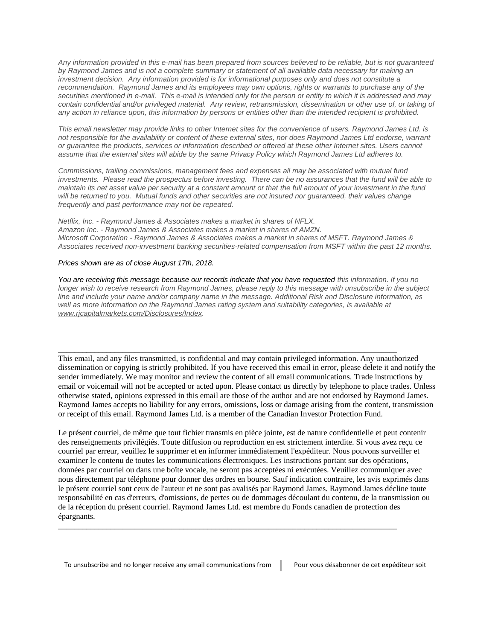*Any information [provided in this e-mail has been prepared from sources believed to be reliable, but is not guaranteed](https://owa-kel.raymondjames.ca/owa/redir.aspx?SURL=z0BxOCXDlQ-Aad1f_a9igaARxm5Rd1VXE7UcmD4mZ3IZiacj7DPTCG0AYQBpAGwAdABvADoAcABhAHUAbAAuAHMAaQBsAHUAYwBoAEAAcgBhAHkAbQBvAG4AZABqAGEAbQBlAHMALgBjAGEA&URL=mailto%3apaul.siluch%40raymondjames.ca)  by Raymond James [and is not a complete summary or statement of all available data necessary for making an](https://owa-kel.raymondjames.ca/owa/redir.aspx?SURL=z0BxOCXDlQ-Aad1f_a9igaARxm5Rd1VXE7UcmD4mZ3IZiacj7DPTCG0AYQBpAGwAdABvADoAcABhAHUAbAAuAHMAaQBsAHUAYwBoAEAAcgBhAHkAbQBvAG4AZABqAGEAbQBlAHMALgBjAGEA&URL=mailto%3apaul.siluch%40raymondjames.ca)  investment decision. [Any information provided is for informational purposes only and does not constitute a](https://owa-kel.raymondjames.ca/owa/redir.aspx?SURL=z0BxOCXDlQ-Aad1f_a9igaARxm5Rd1VXE7UcmD4mZ3IZiacj7DPTCG0AYQBpAGwAdABvADoAcABhAHUAbAAuAHMAaQBsAHUAYwBoAEAAcgBhAHkAbQBvAG4AZABqAGEAbQBlAHMALgBjAGEA&URL=mailto%3apaul.siluch%40raymondjames.ca)  recommendation. Raymond James [and its employees may own options, rights or warrants to purchase any of the](https://owa-kel.raymondjames.ca/owa/redir.aspx?SURL=z0BxOCXDlQ-Aad1f_a9igaARxm5Rd1VXE7UcmD4mZ3IZiacj7DPTCG0AYQBpAGwAdABvADoAcABhAHUAbAAuAHMAaQBsAHUAYwBoAEAAcgBhAHkAbQBvAG4AZABqAGEAbQBlAHMALgBjAGEA&URL=mailto%3apaul.siluch%40raymondjames.ca)  securities mentioned in e-mail. [This e-mail is intended only for the person or entity to which it is addressed and may](https://owa-kel.raymondjames.ca/owa/redir.aspx?SURL=z0BxOCXDlQ-Aad1f_a9igaARxm5Rd1VXE7UcmD4mZ3IZiacj7DPTCG0AYQBpAGwAdABvADoAcABhAHUAbAAuAHMAaQBsAHUAYwBoAEAAcgBhAHkAbQBvAG4AZABqAGEAbQBlAHMALgBjAGEA&URL=mailto%3apaul.siluch%40raymondjames.ca)  contain confidential and/or privileged material. [Any review, retransmission, dissemination or other use of, or taking of](https://owa-kel.raymondjames.ca/owa/redir.aspx?SURL=z0BxOCXDlQ-Aad1f_a9igaARxm5Rd1VXE7UcmD4mZ3IZiacj7DPTCG0AYQBpAGwAdABvADoAcABhAHUAbAAuAHMAaQBsAHUAYwBoAEAAcgBhAHkAbQBvAG4AZABqAGEAbQBlAHMALgBjAGEA&URL=mailto%3apaul.siluch%40raymondjames.ca)  [any action in reliance upon, this information by persons or entities other than the intended recipient is prohibited.](https://owa-kel.raymondjames.ca/owa/redir.aspx?SURL=z0BxOCXDlQ-Aad1f_a9igaARxm5Rd1VXE7UcmD4mZ3IZiacj7DPTCG0AYQBpAGwAdABvADoAcABhAHUAbAAuAHMAaQBsAHUAYwBoAEAAcgBhAHkAbQBvAG4AZABqAGEAbQBlAHMALgBjAGEA&URL=mailto%3apaul.siluch%40raymondjames.ca)*

*This email newsletter may provide links to other Internet sites for the convenience of users. Raymond James Ltd. is not responsible for the availability or content of these external sites, nor does Raymond James Ltd endorse, warrant or guarantee the products, services or information described or offered at these other Internet sites. Users cannot assume that the external sites will abide by the same Privacy Policy which Raymond James Ltd adheres to.*

*Commissions, trailing commissions, management fees and expenses all may be associated with mutual fund investments. Please read the prospectus before investing. There can be no assurances that the fund will be able to maintain its net asset value per security at a constant amount or that the full amount of your investment in the fund will be returned to you. Mutual funds and other securities are not insured nor guaranteed, their values change frequently and past performance may not be repeated.*

*Netflix, Inc. - Raymond James & Associates makes a market in shares of NFLX. Amazon Inc. - Raymond James & Associates makes a market in shares of AMZN. Microsoft Corporation - Raymond James & Associates makes a market in shares of MSFT. Raymond James & Associates received non-investment banking securities-related compensation from MSFT within the past 12 months.*

#### *Prices shown are [as of close August 17th, 2018.](https://owa-kel.raymondjames.ca/owa/redir.aspx?SURL=z0BxOCXDlQ-Aad1f_a9igaARxm5Rd1VXE7UcmD4mZ3IZiacj7DPTCG0AYQBpAGwAdABvADoAcABhAHUAbAAuAHMAaQBsAHUAYwBoAEAAcgBhAHkAbQBvAG4AZABqAGEAbQBlAHMALgBjAGEA&URL=mailto%3apaul.siluch%40raymondjames.ca)*

*You are receiving this message because our records indicate that you have requested this information. If you no longer wish to receive research from Raymond James, please reply to this message with unsubscribe in the subject line and include your name and/or company name in the message. Additional Risk and Disclosure information, as well as more information on the Raymond James rating system and suitability categories, is available at [www.rjcapitalmarkets.com/Disclosures/Index.](https://owa-kel.raymondjames.ca/owa/redir.aspx?SURL=xhOB4gpVfLOskwdkUL9L2f18Fq4IG2rgvMfuIIX7BlwZiacj7DPTCGgAdAB0AHAAOgAvAC8AdwB3AHcALgByAGoAYwBhAHAAaQB0AGEAbABtAGEAcgBrAGUAdABzAC4AYwBvAG0ALwBEAGkAcwBjAGwAbwBzAHUAcgBlAHMALwBJAG4AZABlAHgA&URL=http%3a%2f%2fwww.rjcapitalmarkets.com%2fDisclosures%2fIndex)*

\_\_\_\_\_\_\_\_\_\_\_\_\_\_\_\_\_\_\_\_\_\_\_\_\_\_\_\_\_\_\_\_\_\_\_\_\_\_\_\_\_\_\_\_\_\_\_\_\_\_\_\_\_\_\_\_\_\_\_\_\_\_\_\_\_\_\_\_\_\_\_\_\_\_\_\_\_\_\_\_\_\_\_\_ This email, and any files transmitted, is confidential and may contain privileged information. Any unauthorized dissemination or copying is strictly prohibited. If you have received this email in error, please delete it and notify the sender immediately. We may monitor and review the content of all email communications. Trade instructions by email or voicemail will not be accepted or acted upon. Please contact us directly by telephone to place trades. Unless otherwise stated, opinions expressed in this email are those of the author and are not endorsed by Raymond James. Raymond James accepts no liability for any errors, omissions, loss or damage arising from the content, transmission or receipt of this email. Raymond James Ltd. is a member of the Canadian Investor Protection Fund.

Le présent courriel, de même que tout fichier transmis en pièce jointe, est de nature confidentielle et peut contenir des renseignements privilégiés. Toute diffusion ou reproduction en est strictement interdite. Si vous avez reçu ce courriel par erreur, veuillez le supprimer et en informer immédiatement l'expéditeur. Nous pouvons surveiller et examiner le contenu de toutes les communications électroniques. Les instructions portant sur des opérations, données par courriel ou dans une boîte vocale, ne seront pas acceptées ni exécutées. Veuillez communiquer avec nous directement par téléphone pour donner des ordres en bourse. Sauf indication contraire, les avis exprimés dans le présent courriel sont ceux de l'auteur et ne sont pas avalisés par Raymond James. Raymond James décline toute responsabilité en cas d'erreurs, d'omissions, de pertes ou de dommages découlant du contenu, de la transmission ou de la réception du présent courriel. Raymond James Ltd. est membre du Fonds canadien de protection des épargnants.

\_\_\_\_\_\_\_\_\_\_\_\_\_\_\_\_\_\_\_\_\_\_\_\_\_\_\_\_\_\_\_\_\_\_\_\_\_\_\_\_\_\_\_\_\_\_\_\_\_\_\_\_\_\_\_\_\_\_\_\_\_\_\_\_\_\_\_\_\_\_\_\_\_\_\_\_\_\_\_\_\_\_\_\_

To unsubscribe and no longer receive any email communications from Pour vous désabonner de cet expéditeur soit